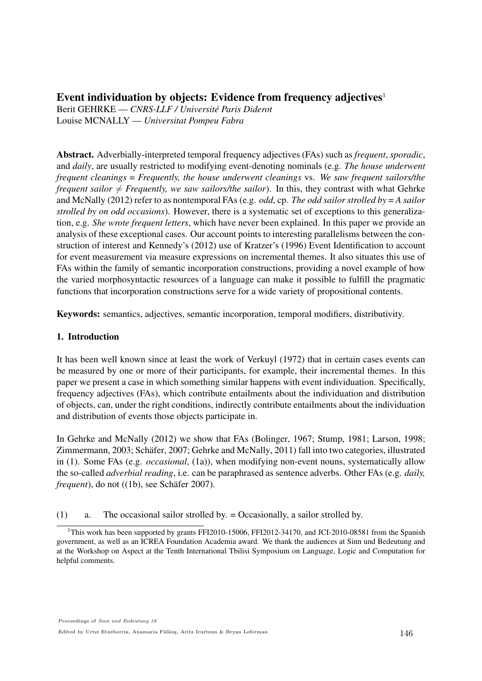# Event individuation by objects: Evidence from frequency adjectives $1$

Berit GEHRKE — *CNRS-LLF / Universite Paris Diderot ´* Louise MCNALLY — *Universitat Pompeu Fabra*

Abstract. Adverbially-interpreted temporal frequency adjectives (FAs) such as *frequent*, *sporadic*, and *daily*, are usually restricted to modifying event-denoting nominals (e.g. *The house underwent frequent cleanings* = *Frequently, the house underwent cleanings* vs. *We saw frequent sailors/the frequent sailor*  $\neq$  *Frequently, we saw sailors/the sailor*). In this, they contrast with what Gehrke and McNally (2012) refer to as nontemporal FAs (e.g. *odd*, cp. *The odd sailor strolled by* = *A sailor strolled by on odd occasions*). However, there is a systematic set of exceptions to this generalization, e.g. *She wrote frequent letters*, which have never been explained. In this paper we provide an analysis of these exceptional cases. Our account points to interesting parallelisms between the construction of interest and Kennedy's (2012) use of Kratzer's (1996) Event Identification to account for event measurement via measure expressions on incremental themes. It also situates this use of FAs within the family of semantic incorporation constructions, providing a novel example of how the varied morphosyntactic resources of a language can make it possible to fulfill the pragmatic functions that incorporation constructions serve for a wide variety of propositional contents.

Keywords: semantics, adjectives, semantic incorporation, temporal modifiers, distributivity.

## 1. Introduction

It has been well known since at least the work of Verkuyl (1972) that in certain cases events can be measured by one or more of their participants, for example, their incremental themes. In this paper we present a case in which something similar happens with event individuation. Specifically, frequency adjectives (FAs), which contribute entailments about the individuation and distribution of objects, can, under the right conditions, indirectly contribute entailments about the individuation and distribution of events those objects participate in.

In Gehrke and McNally (2012) we show that FAs (Bolinger, 1967; Stump, 1981; Larson, 1998; Zimmermann, 2003; Schäfer, 2007; Gehrke and McNally, 2011) fall into two categories, illustrated in (1). Some FAs (e.g. *occasional*, (1a)), when modifying non-event nouns, systematically allow the so-called *adverbial reading*, i.e. can be paraphrased as sentence adverbs. Other FAs (e.g. *daily, frequent*), do not ((1b), see Schäfer 2007).

(1) a. The occasional sailor strolled by. = Occasionally, a sailor strolled by.

<sup>&</sup>lt;sup>1</sup>This work has been supported by grants FFI2010-15006, FFI2012-34170, and JCI-2010-08581 from the Spanish government, as well as an ICREA Foundation Academia award. We thank the audiences at Sinn und Bedeutung and at the Workshop on Aspect at the Tenth International Tbilisi Symposium on Language, Logic and Computation for helpful comments.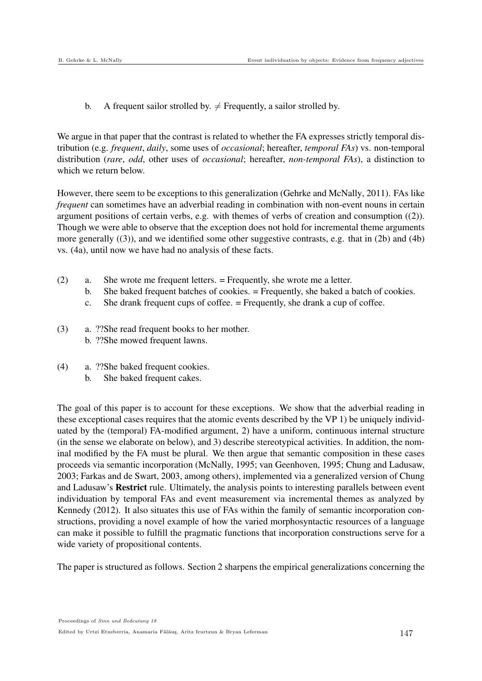b. A frequent sailor strolled by.  $\neq$  Frequently, a sailor strolled by.

We argue in that paper that the contrast is related to whether the FA expresses strictly temporal distribution (e.g. *frequent*, *daily*, some uses of *occasional*; hereafter, *temporal FAs*) vs. non-temporal distribution (*rare*, *odd*, other uses of *occasional*; hereafter, *non-temporal FAs*), a distinction to which we return below.

However, there seem to be exceptions to this generalization (Gehrke and McNally, 2011). FAs like *frequent* can sometimes have an adverbial reading in combination with non-event nouns in certain argument positions of certain verbs, e.g. with themes of verbs of creation and consumption ((2)). Though we were able to observe that the exception does not hold for incremental theme arguments more generally  $((3))$ , and we identified some other suggestive contrasts, e.g. that in  $(2b)$  and  $(4b)$ vs. (4a), until now we have had no analysis of these facts.

- (2) a. She wrote me frequent letters. = Frequently, she wrote me a letter.
	- b. She baked frequent batches of cookies. = Frequently, she baked a batch of cookies.
	- c. She drank frequent cups of coffee. = Frequently, she drank a cup of coffee.
- (3) a. ??She read frequent books to her mother. b. ??She mowed frequent lawns.
- (4) a. ??She baked frequent cookies.
	- b. She baked frequent cakes.

The goal of this paper is to account for these exceptions. We show that the adverbial reading in these exceptional cases requires that the atomic events described by the VP 1) be uniquely individuated by the (temporal) FA-modified argument, 2) have a uniform, continuous internal structure (in the sense we elaborate on below), and 3) describe stereotypical activities. In addition, the nominal modified by the FA must be plural. We then argue that semantic composition in these cases proceeds via semantic incorporation (McNally, 1995; van Geenhoven, 1995; Chung and Ladusaw, 2003; Farkas and de Swart, 2003, among others), implemented via a generalized version of Chung and Ladusaw's Restrict rule. Ultimately, the analysis points to interesting parallels between event individuation by temporal FAs and event measurement via incremental themes as analyzed by Kennedy (2012). It also situates this use of FAs within the family of semantic incorporation constructions, providing a novel example of how the varied morphosyntactic resources of a language can make it possible to fulfill the pragmatic functions that incorporation constructions serve for a wide variety of propositional contents.

The paper is structured as follows. Section 2 sharpens the empirical generalizations concerning the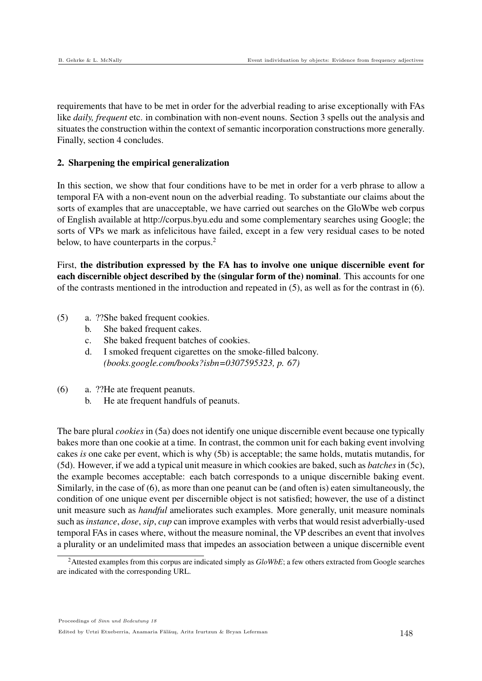requirements that have to be met in order for the adverbial reading to arise exceptionally with FAs like *daily, frequent* etc. in combination with non-event nouns. Section 3 spells out the analysis and situates the construction within the context of semantic incorporation constructions more generally. Finally, section 4 concludes.

#### 2. Sharpening the empirical generalization

In this section, we show that four conditions have to be met in order for a verb phrase to allow a temporal FA with a non-event noun on the adverbial reading. To substantiate our claims about the sorts of examples that are unacceptable, we have carried out searches on the GloWbe web corpus of English available at http://corpus.byu.edu and some complementary searches using Google; the sorts of VPs we mark as infelicitous have failed, except in a few very residual cases to be noted below, to have counterparts in the corpus.<sup>2</sup>

First, the distribution expressed by the FA has to involve one unique discernible event for each discernible object described by the (singular form of the) nominal. This accounts for one of the contrasts mentioned in the introduction and repeated in (5), as well as for the contrast in (6).

- (5) a. ??She baked frequent cookies.
	- b. She baked frequent cakes.
	- c. She baked frequent batches of cookies.
	- d. I smoked frequent cigarettes on the smoke-filled balcony. *(books.google.com/books?isbn=0307595323, p. 67)*
- (6) a. ??He ate frequent peanuts.
	- b. He ate frequent handfuls of peanuts.

The bare plural *cookies* in (5a) does not identify one unique discernible event because one typically bakes more than one cookie at a time. In contrast, the common unit for each baking event involving cakes *is* one cake per event, which is why (5b) is acceptable; the same holds, mutatis mutandis, for (5d). However, if we add a typical unit measure in which cookies are baked, such as *batches* in (5c), the example becomes acceptable: each batch corresponds to a unique discernible baking event. Similarly, in the case of (6), as more than one peanut can be (and often is) eaten simultaneously, the condition of one unique event per discernible object is not satisfied; however, the use of a distinct unit measure such as *handful* ameliorates such examples. More generally, unit measure nominals such as *instance*, *dose*, *sip*, *cup* can improve examples with verbs that would resist adverbially-used temporal FAs in cases where, without the measure nominal, the VP describes an event that involves a plurality or an undelimited mass that impedes an association between a unique discernible event

<sup>&</sup>lt;sup>2</sup>Attested examples from this corpus are indicated simply as *GloWbE*; a few others extracted from Google searches are indicated with the corresponding URL.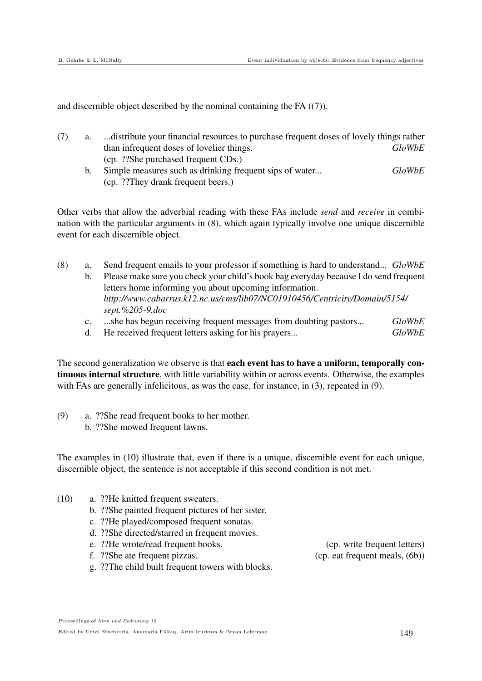and discernible object described by the nominal containing the FA ((7)).

- (7) a. ...distribute your financial resources to purchase frequent doses of lovely things rather than infrequent doses of lovelier things. *GloWbE* (cp. ??She purchased frequent CDs.)
	- b. Simple measures such as drinking frequent sips of water... *GloWbE* (cp. ??They drank frequent beers.)

Other verbs that allow the adverbial reading with these FAs include *send* and *receive* in combination with the particular arguments in (8), which again typically involve one unique discernible event for each discernible object.

- (8) a. Send frequent emails to your professor if something is hard to understand... *GloWbE* b. Please make sure you check your child's book bag everyday because I do send frequent letters home informing you about upcoming information. *http://www.cabarrus.k12.nc.us/cms/lib07/NC01910456/Centricity/Domain/5154/ sept.%205-9.doc*
	- c. ...she has begun receiving frequent messages from doubting pastors... *GloWbE*
	- d. He received frequent letters asking for his prayers... *GloWbE*

The second generalization we observe is that **each event has to have a uniform, temporally con**tinuous internal structure, with little variability within or across events. Otherwise, the examples with FAs are generally infelicitous, as was the case, for instance, in (3), repeated in (9).

(9) a. ??She read frequent books to her mother. b. ??She mowed frequent lawns.

The examples in (10) illustrate that, even if there is a unique, discernible event for each unique, discernible object, the sentence is not acceptable if this second condition is not met.

- (10) a. ??He knitted frequent sweaters.
	- b. ??She painted frequent pictures of her sister.
	- c. ??He played/composed frequent sonatas.
	- d. ??She directed/starred in frequent movies.
	- e. ??He wrote/read frequent books. (cp. write frequent letters)
	- f. ??She ate frequent pizzas. (cp. eat frequent meals, (6b))

g. ??The child built frequent towers with blocks.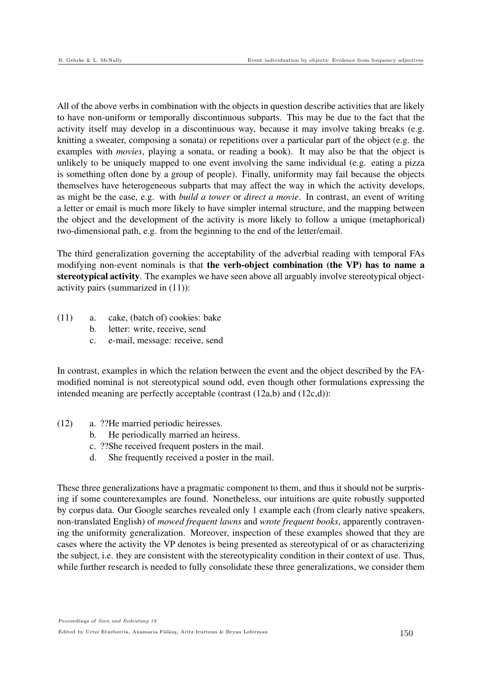All of the above verbs in combination with the objects in question describe activities that are likely to have non-uniform or temporally discontinuous subparts. This may be due to the fact that the activity itself may develop in a discontinuous way, because it may involve taking breaks (e.g. knitting a sweater, composing a sonata) or repetitions over a particular part of the object (e.g. the examples with *movies*, playing a sonata, or reading a book). It may also be that the object is unlikely to be uniquely mapped to one event involving the same individual (e.g. eating a pizza is something often done by a group of people). Finally, uniformity may fail because the objects themselves have heterogeneous subparts that may affect the way in which the activity develops, as might be the case, e.g. with *build a tower* or *direct a movie*. In contrast, an event of writing a letter or email is much more likely to have simpler internal structure, and the mapping between the object and the development of the activity is more likely to follow a unique (metaphorical) two-dimensional path, e.g. from the beginning to the end of the letter/email.

The third generalization governing the acceptability of the adverbial reading with temporal FAs modifying non-event nominals is that the verb-object combination (the VP) has to name a stereotypical activity. The examples we have seen above all arguably involve stereotypical objectactivity pairs (summarized in (11)):

- (11) a. cake, (batch of) cookies: bake
	- b. letter: write, receive, send
	- c. e-mail, message: receive, send

In contrast, examples in which the relation between the event and the object described by the FAmodified nominal is not stereotypical sound odd, even though other formulations expressing the intended meaning are perfectly acceptable (contrast (12a,b) and (12c,d)):

- (12) a. ??He married periodic heiresses.
	- b. He periodically married an heiress.
	- c. ??She received frequent posters in the mail.
	- d. She frequently received a poster in the mail.

These three generalizations have a pragmatic component to them, and thus it should not be surprising if some counterexamples are found. Nonetheless, our intuitions are quite robustly supported by corpus data. Our Google searches revealed only 1 example each (from clearly native speakers, non-translated English) of *mowed frequent lawns* and *wrote frequent books*, apparently contravening the uniformity generalization. Moreover, inspection of these examples showed that they are cases where the activity the VP denotes is being presented as stereotypical of or as characterizing the subject, i.e. they are consistent with the stereotypicality condition in their context of use. Thus, while further research is needed to fully consolidate these three generalizations, we consider them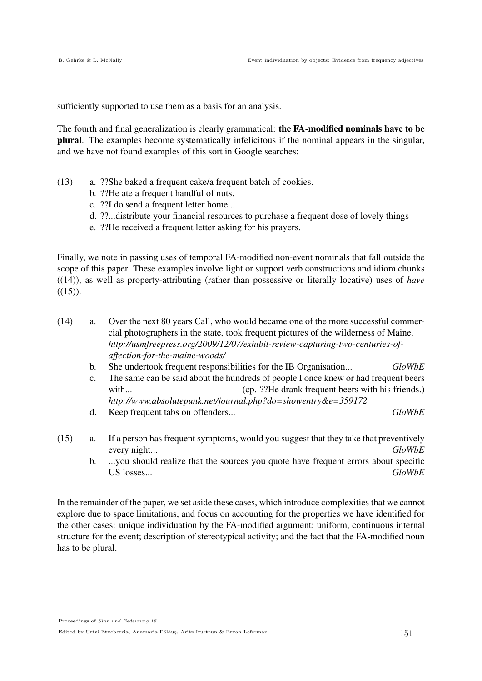sufficiently supported to use them as a basis for an analysis.

The fourth and final generalization is clearly grammatical: the FA-modified nominals have to be plural. The examples become systematically infelicitous if the nominal appears in the singular, and we have not found examples of this sort in Google searches:

- (13) a. ??She baked a frequent cake/a frequent batch of cookies.
	- b. ??He ate a frequent handful of nuts.
	- c. ??I do send a frequent letter home...
	- d. ??...distribute your financial resources to purchase a frequent dose of lovely things
	- e. ??He received a frequent letter asking for his prayers.

Finally, we note in passing uses of temporal FA-modified non-event nominals that fall outside the scope of this paper. These examples involve light or support verb constructions and idiom chunks ((14)), as well as property-attributing (rather than possessive or literally locative) uses of *have*  $((15))$ .

- (14) a. Over the next 80 years Call, who would became one of the more successful commercial photographers in the state, took frequent pictures of the wilderness of Maine. *http://usmfreepress.org/2009/12/07/exhibit-review-capturing-two-centuries-ofaffection-for-the-maine-woods/*
	- b. She undertook frequent responsibilities for the IB Organisation... *GloWbE*
	- c. The same can be said about the hundreds of people I once knew or had frequent beers with... (cp. ??He drank frequent beers with his friends.) *http://www.absolutepunk.net/journal.php?do=showentry&e=359172*
	- d. Keep frequent tabs on offenders... *GloWbE*
- (15) a. If a person has frequent symptoms, would you suggest that they take that preventively every night... *GloWbE*
	- b. ...you should realize that the sources you quote have frequent errors about specific US losses... *GloWbE*

In the remainder of the paper, we set aside these cases, which introduce complexities that we cannot explore due to space limitations, and focus on accounting for the properties we have identified for the other cases: unique individuation by the FA-modified argument; uniform, continuous internal structure for the event; description of stereotypical activity; and the fact that the FA-modified noun has to be plural.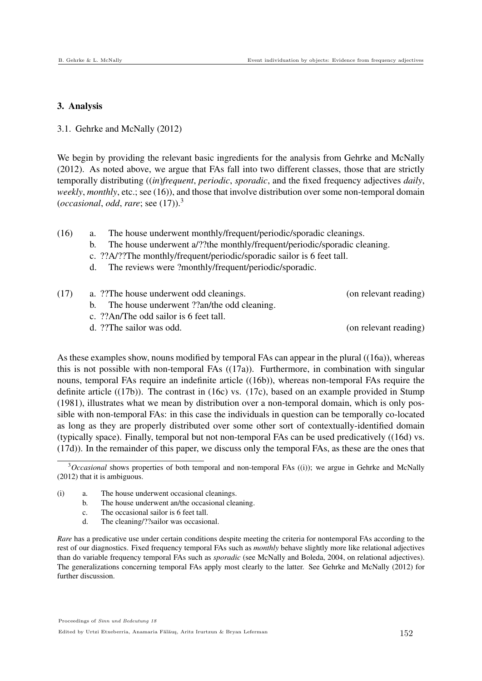#### 3. Analysis

#### 3.1. Gehrke and McNally (2012)

We begin by providing the relevant basic ingredients for the analysis from Gehrke and McNally (2012). As noted above, we argue that FAs fall into two different classes, those that are strictly temporally distributing ((*in*)*frequent*, *periodic*, *sporadic*, and the fixed frequency adjectives *daily*, *weekly*, *monthly*, etc.; see (16)), and those that involve distribution over some non-temporal domain (*occasional*, *odd*, *rare*; see (17)).<sup>3</sup>

- (16) a. The house underwent monthly/frequent/periodic/sporadic cleanings.
	- b. The house underwent a/??the monthly/frequent/periodic/sporadic cleaning.
	- c. ??A/??The monthly/frequent/periodic/sporadic sailor is 6 feet tall.
	- d. The reviews were ?monthly/frequent/periodic/sporadic.

| (17) | a. ??The house underwent odd cleanings.       | (on relevant reading) |
|------|-----------------------------------------------|-----------------------|
|      | b. The house underwent ??an/the odd cleaning. |                       |
|      | c. ??An/The odd sailor is 6 feet tall.        |                       |
|      | d. ??The sailor was odd.                      | (on relevant reading) |
|      |                                               |                       |

As these examples show, nouns modified by temporal FAs can appear in the plural ((16a)), whereas this is not possible with non-temporal FAs  $((17a))$ . Furthermore, in combination with singular nouns, temporal FAs require an indefinite article ((16b)), whereas non-temporal FAs require the definite article ((17b)). The contrast in (16c) vs. (17c), based on an example provided in Stump (1981), illustrates what we mean by distribution over a non-temporal domain, which is only possible with non-temporal FAs: in this case the individuals in question can be temporally co-located as long as they are properly distributed over some other sort of contextually-identified domain (typically space). Finally, temporal but not non-temporal FAs can be used predicatively ((16d) vs. (17d)). In the remainder of this paper, we discuss only the temporal FAs, as these are the ones that

- (i) a. The house underwent occasional cleanings.
	- b. The house underwent an/the occasional cleaning.
	- c. The occasional sailor is 6 feet tall.
	- d. The cleaning/??sailor was occasional.

*Rare* has a predicative use under certain conditions despite meeting the criteria for nontemporal FAs according to the rest of our diagnostics. Fixed frequency temporal FAs such as *monthly* behave slightly more like relational adjectives than do variable frequency temporal FAs such as *sporadic* (see McNally and Boleda, 2004, on relational adjectives). The generalizations concerning temporal FAs apply most clearly to the latter. See Gehrke and McNally (2012) for further discussion.

<sup>3</sup>*Occasional* shows properties of both temporal and non-temporal FAs ((i)); we argue in Gehrke and McNally (2012) that it is ambiguous.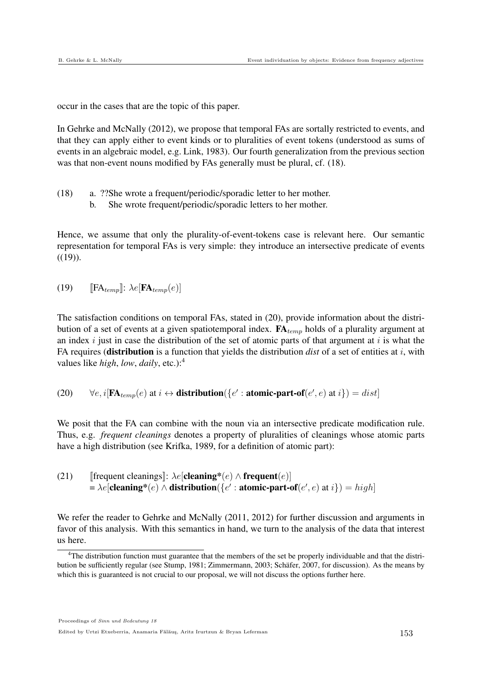occur in the cases that are the topic of this paper.

In Gehrke and McNally (2012), we propose that temporal FAs are sortally restricted to events, and that they can apply either to event kinds or to pluralities of event tokens (understood as sums of events in an algebraic model, e.g. Link, 1983). Our fourth generalization from the previous section was that non-event nouns modified by FAs generally must be plural, cf. (18).

- (18) a. ??She wrote a frequent/periodic/sporadic letter to her mother.
	- b. She wrote frequent/periodic/sporadic letters to her mother.

Hence, we assume that only the plurality-of-event-tokens case is relevant here. Our semantic representation for temporal FAs is very simple: they introduce an intersective predicate of events  $((19))$ .

(19) 
$$
\mathbb{E}[\mathbf{FA}_{temp}]: \lambda e[\mathbf{FA}_{temp}(e)]
$$

The satisfaction conditions on temporal FAs, stated in (20), provide information about the distribution of a set of events at a given spatiotemporal index.  $FA_{temp}$  holds of a plurality argument at an index  $i$  just in case the distribution of the set of atomic parts of that argument at  $i$  is what the FA requires (**distribution** is a function that yields the distribution *dist* of a set of entities at i, with values like *high*, *low*, *daily*, etc.):<sup>4</sup>

(20)  $\forall e, i[\mathbf{FA}_{temp}(e) \text{ at } i \leftrightarrow \text{distribution}(\{e': \text{atomic-part-of}(e', e) \text{ at } i\}) = dist]$ 

We posit that the FA can combine with the noun via an intersective predicate modification rule. Thus, e.g. *frequent cleanings* denotes a property of pluralities of cleanings whose atomic parts have a high distribution (see Krifka, 1989, for a definition of atomic part):

(21) [frequent cleanings]: 
$$
\lambda e
$$
[cleaning\*(e)  $\wedge$  frequent(e)]  
=  $\lambda e$ [cleaning\*(e)  $\wedge$  distribution({*e*' : atomic-part-of(*e*', e) at *i*}) = high]

We refer the reader to Gehrke and McNally (2011, 2012) for further discussion and arguments in favor of this analysis. With this semantics in hand, we turn to the analysis of the data that interest us here.

Proceedings of Sinn und Bedeutung 18

Edited by Urtzi Etxeberria, Anamaria Fălăuş, Aritz Irurtzun & Bryan Leferman 153

<sup>4</sup>The distribution function must guarantee that the members of the set be properly individuable and that the distribution be sufficiently regular (see Stump, 1981; Zimmermann, 2003; Schafer, 2007, for discussion). As the means by ¨ which this is guaranteed is not crucial to our proposal, we will not discuss the options further here.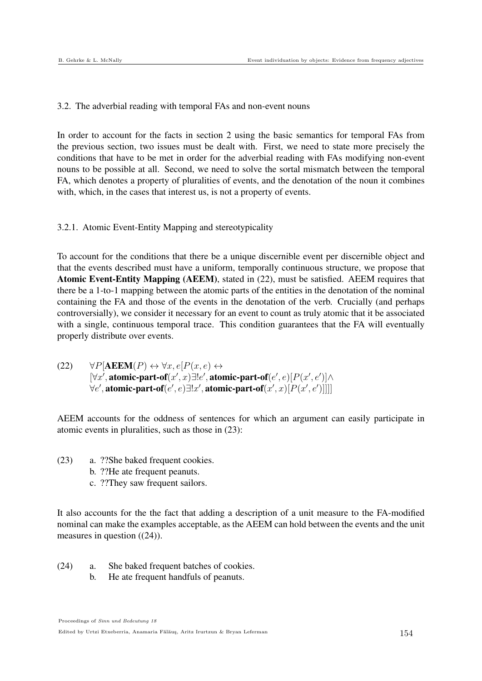#### 3.2. The adverbial reading with temporal FAs and non-event nouns

In order to account for the facts in section 2 using the basic semantics for temporal FAs from the previous section, two issues must be dealt with. First, we need to state more precisely the conditions that have to be met in order for the adverbial reading with FAs modifying non-event nouns to be possible at all. Second, we need to solve the sortal mismatch between the temporal FA, which denotes a property of pluralities of events, and the denotation of the noun it combines with, which, in the cases that interest us, is not a property of events.

## 3.2.1. Atomic Event-Entity Mapping and stereotypicality

To account for the conditions that there be a unique discernible event per discernible object and that the events described must have a uniform, temporally continuous structure, we propose that Atomic Event-Entity Mapping (AEEM), stated in (22), must be satisfied. AEEM requires that there be a 1-to-1 mapping between the atomic parts of the entities in the denotation of the nominal containing the FA and those of the events in the denotation of the verb. Crucially (and perhaps controversially), we consider it necessary for an event to count as truly atomic that it be associated with a single, continuous temporal trace. This condition guarantees that the FA will eventually properly distribute over events.

(22)  $\forall P[\text{AEEM}(P) \leftrightarrow \forall x, e[P(x, e) \leftrightarrow$  $[\forall x', \text{atomic-part-of}(x', x) \exists ! e', \text{atomic-part-of}(e', e) [P(x', e')] \land$  $\forall e', \textbf{atomic-part-of}(e', e) \exists !x', \textbf{atomic-part-of}(x', x)[P(x', e')]]]$ 

AEEM accounts for the oddness of sentences for which an argument can easily participate in atomic events in pluralities, such as those in (23):

- (23) a. ??She baked frequent cookies.
	- b. ??He ate frequent peanuts.
	- c. ??They saw frequent sailors.

It also accounts for the the fact that adding a description of a unit measure to the FA-modified nominal can make the examples acceptable, as the AEEM can hold between the events and the unit measures in question ((24)).

- (24) a. She baked frequent batches of cookies.
	- b. He ate frequent handfuls of peanuts.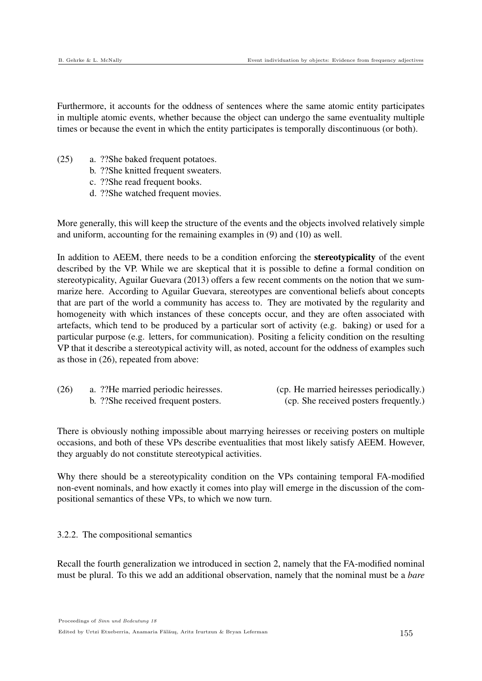Furthermore, it accounts for the oddness of sentences where the same atomic entity participates in multiple atomic events, whether because the object can undergo the same eventuality multiple times or because the event in which the entity participates is temporally discontinuous (or both).

- (25) a. ??She baked frequent potatoes.
	- b. ??She knitted frequent sweaters.
	- c. ??She read frequent books.
	- d. ??She watched frequent movies.

More generally, this will keep the structure of the events and the objects involved relatively simple and uniform, accounting for the remaining examples in (9) and (10) as well.

In addition to AEEM, there needs to be a condition enforcing the **stereotypicality** of the event described by the VP. While we are skeptical that it is possible to define a formal condition on stereotypicality, Aguilar Guevara (2013) offers a few recent comments on the notion that we summarize here. According to Aguilar Guevara, stereotypes are conventional beliefs about concepts that are part of the world a community has access to. They are motivated by the regularity and homogeneity with which instances of these concepts occur, and they are often associated with artefacts, which tend to be produced by a particular sort of activity (e.g. baking) or used for a particular purpose (e.g. letters, for communication). Positing a felicity condition on the resulting VP that it describe a stereotypical activity will, as noted, account for the oddness of examples such as those in (26), repeated from above:

| (26) | a. ?? He married periodic heiresses. | (cp. He married heiresses periodically.) |
|------|--------------------------------------|------------------------------------------|
|      | b. ??She received frequent posters.  | (cp. She received posters frequently.)   |

There is obviously nothing impossible about marrying heiresses or receiving posters on multiple occasions, and both of these VPs describe eventualities that most likely satisfy AEEM. However, they arguably do not constitute stereotypical activities.

Why there should be a stereotypicality condition on the VPs containing temporal FA-modified non-event nominals, and how exactly it comes into play will emerge in the discussion of the compositional semantics of these VPs, to which we now turn.

3.2.2. The compositional semantics

Recall the fourth generalization we introduced in section 2, namely that the FA-modified nominal must be plural. To this we add an additional observation, namely that the nominal must be a *bare*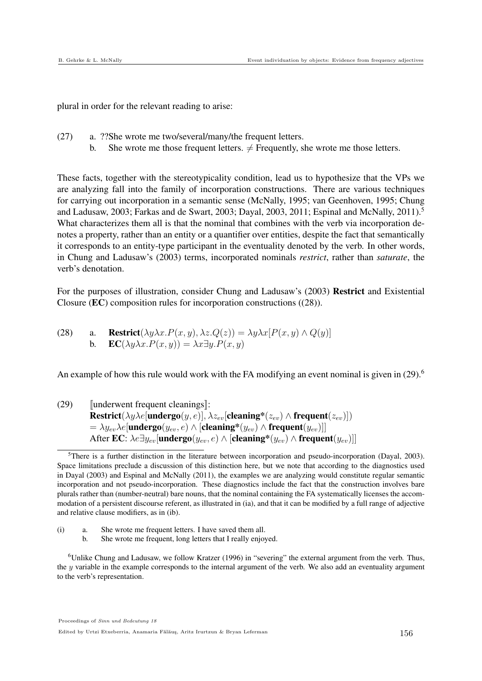plural in order for the relevant reading to arise:

- (27) a. ??She wrote me two/several/many/the frequent letters.
	- b. She wrote me those frequent letters.  $\neq$  Frequently, she wrote me those letters.

These facts, together with the stereotypicality condition, lead us to hypothesize that the VPs we are analyzing fall into the family of incorporation constructions. There are various techniques for carrying out incorporation in a semantic sense (McNally, 1995; van Geenhoven, 1995; Chung and Ladusaw, 2003; Farkas and de Swart, 2003; Dayal, 2003, 2011; Espinal and McNally,  $2011$ .<sup>5</sup> What characterizes them all is that the nominal that combines with the verb via incorporation denotes a property, rather than an entity or a quantifier over entities, despite the fact that semantically it corresponds to an entity-type participant in the eventuality denoted by the verb. In other words, in Chung and Ladusaw's (2003) terms, incorporated nominals *restrict*, rather than *saturate*, the verb's denotation.

For the purposes of illustration, consider Chung and Ladusaw's (2003) Restrict and Existential Closure (EC) composition rules for incorporation constructions ((28)).

(28) a. **Restrict**
$$
(\lambda y \lambda x.P(x, y), \lambda z.Q(z)) = \lambda y \lambda x [P(x, y) \land Q(y)]
$$
  
b. **EC** $(\lambda y \lambda x.P(x, y)) = \lambda x \exists y.P(x, y)$ 

An example of how this rule would work with the FA modifying an event nominal is given in (29).<sup>6</sup>

 $(29)$  [underwent frequent cleanings]:  $\textbf{Restrict}(\lambda y \lambda e[\textbf{undergo}(y, e)], \lambda z_{ev}[\textbf{cleaning*}(z_{ev}) \wedge \textbf{frequent}(z_{ev})])$  $\lambda = \lambda y_{ev} \lambda e$ [undergo $(y_{ev}, e) \wedge$  [cleaning\* $(y_{ev}) \wedge$  frequent $(y_{ev})$ ]] After EC:  $\lambda e \exists y_{ev}$ [undergo $(y_{ev}, e) \wedge$  [cleaning\* $(y_{ev}) \wedge$  frequent $(y_{ev})$ ]]

- (i) a. She wrote me frequent letters. I have saved them all.
	- b. She wrote me frequent, long letters that I really enjoyed.

<sup>6</sup>Unlike Chung and Ladusaw, we follow Kratzer (1996) in "severing" the external argument from the verb. Thus, the  $y$  variable in the example corresponds to the internal argument of the verb. We also add an eventuality argument to the verb's representation.

 ${}^{5}$ There is a further distinction in the literature between incorporation and pseudo-incorporation (Dayal, 2003). Space limitations preclude a discussion of this distinction here, but we note that according to the diagnostics used in Dayal (2003) and Espinal and McNally (2011), the examples we are analyzing would constitute regular semantic incorporation and not pseudo-incorporation. These diagnostics include the fact that the construction involves bare plurals rather than (number-neutral) bare nouns, that the nominal containing the FA systematically licenses the accommodation of a persistent discourse referent, as illustrated in (ia), and that it can be modified by a full range of adjective and relative clause modifiers, as in (ib).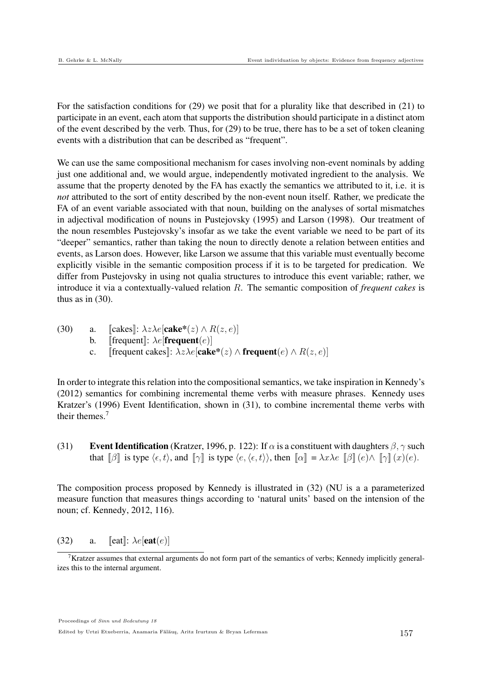For the satisfaction conditions for (29) we posit that for a plurality like that described in (21) to participate in an event, each atom that supports the distribution should participate in a distinct atom of the event described by the verb. Thus, for (29) to be true, there has to be a set of token cleaning events with a distribution that can be described as "frequent".

We can use the same compositional mechanism for cases involving non-event nominals by adding just one additional and, we would argue, independently motivated ingredient to the analysis. We assume that the property denoted by the FA has exactly the semantics we attributed to it, i.e. it is *not* attributed to the sort of entity described by the non-event noun itself. Rather, we predicate the FA of an event variable associated with that noun, building on the analyses of sortal mismatches in adjectival modification of nouns in Pustejovsky (1995) and Larson (1998). Our treatment of the noun resembles Pustejovsky's insofar as we take the event variable we need to be part of its "deeper" semantics, rather than taking the noun to directly denote a relation between entities and events, as Larson does. However, like Larson we assume that this variable must eventually become explicitly visible in the semantic composition process if it is to be targeted for predication. We differ from Pustejovsky in using not qualia structures to introduce this event variable; rather, we introduce it via a contextually-valued relation R. The semantic composition of *frequent cakes* is thus as in (30).

(30) a. [cakes]: 
$$
\lambda z \lambda e[\text{cake}^*(z) \wedge R(z, e)]
$$
  
b. [frequent]:  $\lambda e[\text{frequent}(e)]$   
c. [frequent cakes]:  $\lambda z \lambda e[\text{cake}^*(z) \wedge \text{frequent}(e) \wedge R(z, e)]$ 

In order to integrate this relation into the compositional semantics, we take inspiration in Kennedy's (2012) semantics for combining incremental theme verbs with measure phrases. Kennedy uses Kratzer's (1996) Event Identification, shown in (31), to combine incremental theme verbs with their themes.<sup>7</sup>

(31) Event Identification (Kratzer, 1996, p. 122): If  $\alpha$  is a constituent with daughters  $\beta$ ,  $\gamma$  such that  $\llbracket \beta \rrbracket$  is type  $\langle \epsilon, t \rangle$ , and  $\llbracket \gamma \rrbracket$  is type  $\langle \epsilon, \langle \epsilon, t \rangle \rangle$ , then  $\llbracket \alpha \rrbracket = \lambda x \lambda e \llbracket \beta \rrbracket (e) \wedge \llbracket \gamma \rrbracket (x)(e)$ .

The composition process proposed by Kennedy is illustrated in (32) (NU is a a parameterized measure function that measures things according to 'natural units' based on the intension of the noun; cf. Kennedy, 2012, 116).

(32) a. 
$$
[\text{eat}]: \lambda e[\text{eat}(e)]
$$

Proceedings of Sinn und Bedeutung 18

Edited by Urtzi Etxeberria, Anamaria Fălăuş, Aritz Irurtzun & Bryan Leferman 157

<sup>&</sup>lt;sup>7</sup>Kratzer assumes that external arguments do not form part of the semantics of verbs; Kennedy implicitly generalizes this to the internal argument.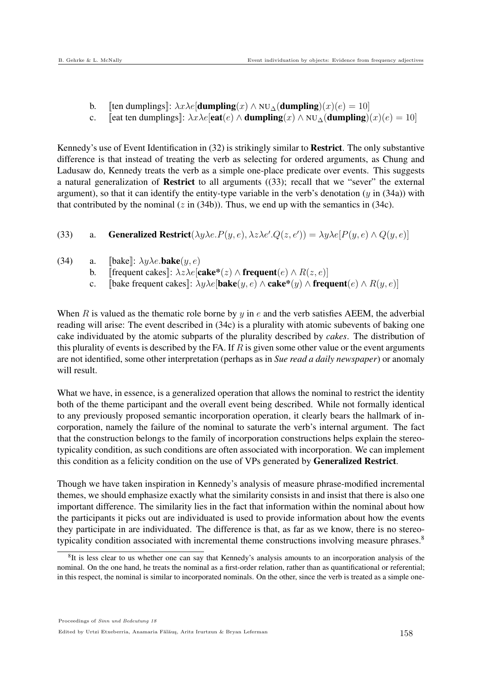- 
- b. [[ten dumplings]:  $\lambda x \lambda e$ [**dumpling** $(x) \wedge \text{NU}_\Delta$ (**dumpling** $(x)(e) = 10$ ]<br>c. [[eat ten dumplings]]:  $\lambda x \lambda e$ [**eat** $(e) \wedge$ **dumpling** $(x) \wedge \text{NU}_\Delta$ (**dumpling**)] [[eat ten dumplings]:  $\lambda x \lambda e$ [eat $(e) \wedge$  dumpling $(x) \wedge$  NU<sub>△</sub>(dumpling) $(x)(e) = 10$ ]

Kennedy's use of Event Identification in (32) is strikingly similar to Restrict. The only substantive difference is that instead of treating the verb as selecting for ordered arguments, as Chung and Ladusaw do, Kennedy treats the verb as a simple one-place predicate over events. This suggests a natural generalization of Restrict to all arguments ((33); recall that we "sever" the external argument), so that it can identify the entity-type variable in the verb's denotation  $(y \text{ in } (34a))$  with that contributed by the nominal  $(z \text{ in } (34b))$ . Thus, we end up with the semantics in  $(34c)$ .

(33) a. Generalized Restrict( $\lambda y \lambda e.P(y, e), \lambda z \lambda e'.Q(z, e')) = \lambda y \lambda e[P(y, e) \wedge Q(y, e)]$ 

- (34) a.  $\left[\text{bake}\right]$ :  $\lambda y \lambda e. \text{bake}(y, e)$ 
	- b. [[frequent cakes]:  $\lambda z \lambda e$ [cake\*(z)  $\wedge$  frequent(e)  $\wedge R(z, e)$ ]<br>c. [bake frequent cakes]:  $\lambda u \lambda e$ [bake(u, e)  $\wedge$  cake\*(u)  $\wedge$  freq
	- [bake frequent cakes]]:  $\lambda y \lambda e$ [**bake**(y, e) ∧ **cake\***(y) ∧ **frequent**(e) ∧  $R(y, e)$ ]

When R is valued as the thematic role borne by y in  $e$  and the verb satisfies AEEM, the adverbial reading will arise: The event described in (34c) is a plurality with atomic subevents of baking one cake individuated by the atomic subparts of the plurality described by *cakes*. The distribution of this plurality of events is described by the FA. If  $R$  is given some other value or the event arguments are not identified, some other interpretation (perhaps as in *Sue read a daily newspaper*) or anomaly will result.

What we have, in essence, is a generalized operation that allows the nominal to restrict the identity both of the theme participant and the overall event being described. While not formally identical to any previously proposed semantic incorporation operation, it clearly bears the hallmark of incorporation, namely the failure of the nominal to saturate the verb's internal argument. The fact that the construction belongs to the family of incorporation constructions helps explain the stereotypicality condition, as such conditions are often associated with incorporation. We can implement this condition as a felicity condition on the use of VPs generated by Generalized Restrict.

Though we have taken inspiration in Kennedy's analysis of measure phrase-modified incremental themes, we should emphasize exactly what the similarity consists in and insist that there is also one important difference. The similarity lies in the fact that information within the nominal about how the participants it picks out are individuated is used to provide information about how the events they participate in are individuated. The difference is that, as far as we know, there is no stereotypicality condition associated with incremental theme constructions involving measure phrases.<sup>8</sup>

<sup>&</sup>lt;sup>8</sup>It is less clear to us whether one can say that Kennedy's analysis amounts to an incorporation analysis of the nominal. On the one hand, he treats the nominal as a first-order relation, rather than as quantificational or referential; in this respect, the nominal is similar to incorporated nominals. On the other, since the verb is treated as a simple one-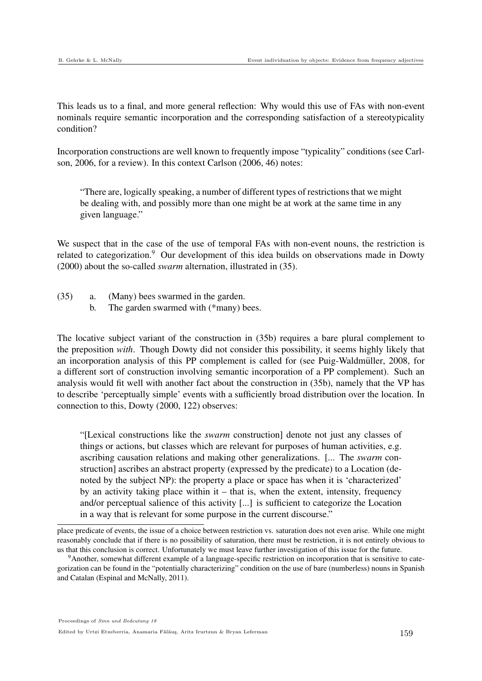This leads us to a final, and more general reflection: Why would this use of FAs with non-event nominals require semantic incorporation and the corresponding satisfaction of a stereotypicality condition?

Incorporation constructions are well known to frequently impose "typicality" conditions (see Carlson, 2006, for a review). In this context Carlson (2006, 46) notes:

"There are, logically speaking, a number of different types of restrictions that we might be dealing with, and possibly more than one might be at work at the same time in any given language."

We suspect that in the case of the use of temporal FAs with non-event nouns, the restriction is related to categorization.<sup>9</sup> Our development of this idea builds on observations made in Dowty (2000) about the so-called *swarm* alternation, illustrated in (35).

- (35) a. (Many) bees swarmed in the garden.
	- b. The garden swarmed with (\*many) bees.

The locative subject variant of the construction in (35b) requires a bare plural complement to the preposition *with*. Though Dowty did not consider this possibility, it seems highly likely that an incorporation analysis of this PP complement is called for (see Puig-Waldmüller, 2008, for a different sort of construction involving semantic incorporation of a PP complement). Such an analysis would fit well with another fact about the construction in (35b), namely that the VP has to describe 'perceptually simple' events with a sufficiently broad distribution over the location. In connection to this, Dowty (2000, 122) observes:

"[Lexical constructions like the *swarm* construction] denote not just any classes of things or actions, but classes which are relevant for purposes of human activities, e.g. ascribing causation relations and making other generalizations. [... The *swarm* construction] ascribes an abstract property (expressed by the predicate) to a Location (denoted by the subject NP): the property a place or space has when it is 'characterized' by an activity taking place within it – that is, when the extent, intensity, frequency and/or perceptual salience of this activity [...] is sufficient to categorize the Location in a way that is relevant for some purpose in the current discourse."

place predicate of events, the issue of a choice between restriction vs. saturation does not even arise. While one might reasonably conclude that if there is no possibility of saturation, there must be restriction, it is not entirely obvious to us that this conclusion is correct. Unfortunately we must leave further investigation of this issue for the future.

<sup>9</sup>Another, somewhat different example of a language-specific restriction on incorporation that is sensitive to categorization can be found in the "potentially characterizing" condition on the use of bare (numberless) nouns in Spanish and Catalan (Espinal and McNally, 2011).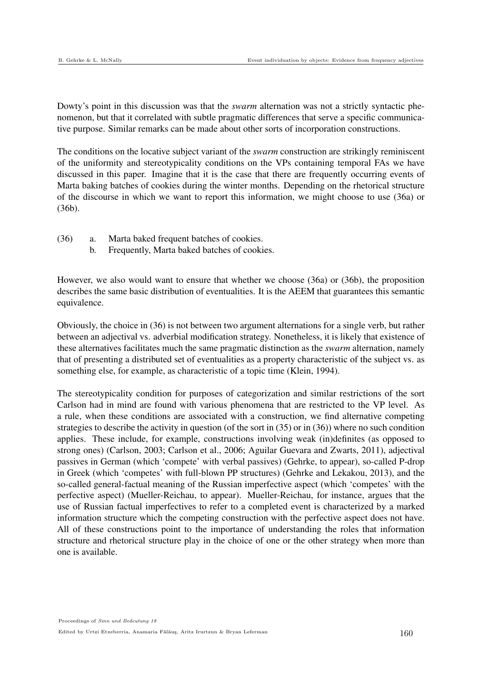Dowty's point in this discussion was that the *swarm* alternation was not a strictly syntactic phenomenon, but that it correlated with subtle pragmatic differences that serve a specific communicative purpose. Similar remarks can be made about other sorts of incorporation constructions.

The conditions on the locative subject variant of the *swarm* construction are strikingly reminiscent of the uniformity and stereotypicality conditions on the VPs containing temporal FAs we have discussed in this paper. Imagine that it is the case that there are frequently occurring events of Marta baking batches of cookies during the winter months. Depending on the rhetorical structure of the discourse in which we want to report this information, we might choose to use (36a) or (36b).

- (36) a. Marta baked frequent batches of cookies.
	- b. Frequently, Marta baked batches of cookies.

However, we also would want to ensure that whether we choose (36a) or (36b), the proposition describes the same basic distribution of eventualities. It is the AEEM that guarantees this semantic equivalence.

Obviously, the choice in (36) is not between two argument alternations for a single verb, but rather between an adjectival vs. adverbial modification strategy. Nonetheless, it is likely that existence of these alternatives facilitates much the same pragmatic distinction as the *swarm* alternation, namely that of presenting a distributed set of eventualities as a property characteristic of the subject vs. as something else, for example, as characteristic of a topic time (Klein, 1994).

The stereotypicality condition for purposes of categorization and similar restrictions of the sort Carlson had in mind are found with various phenomena that are restricted to the VP level. As a rule, when these conditions are associated with a construction, we find alternative competing strategies to describe the activity in question (of the sort in (35) or in (36)) where no such condition applies. These include, for example, constructions involving weak (in)definites (as opposed to strong ones) (Carlson, 2003; Carlson et al., 2006; Aguilar Guevara and Zwarts, 2011), adjectival passives in German (which 'compete' with verbal passives) (Gehrke, to appear), so-called P-drop in Greek (which 'competes' with full-blown PP structures) (Gehrke and Lekakou, 2013), and the so-called general-factual meaning of the Russian imperfective aspect (which 'competes' with the perfective aspect) (Mueller-Reichau, to appear). Mueller-Reichau, for instance, argues that the use of Russian factual imperfectives to refer to a completed event is characterized by a marked information structure which the competing construction with the perfective aspect does not have. All of these constructions point to the importance of understanding the roles that information structure and rhetorical structure play in the choice of one or the other strategy when more than one is available.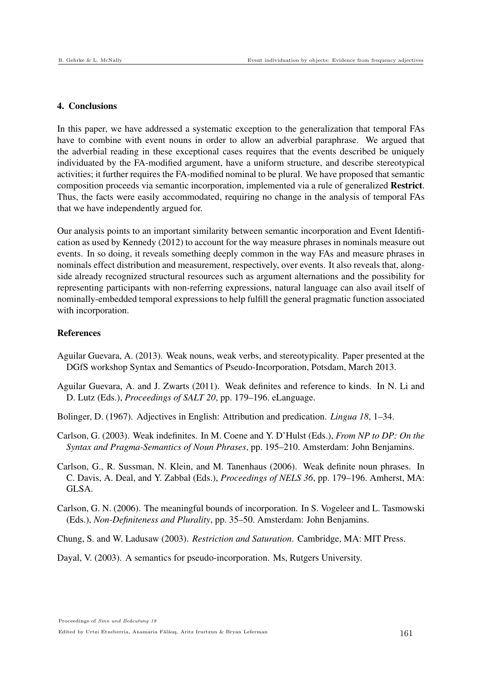## 4. Conclusions

In this paper, we have addressed a systematic exception to the generalization that temporal FAs have to combine with event nouns in order to allow an adverbial paraphrase. We argued that the adverbial reading in these exceptional cases requires that the events described be uniquely individuated by the FA-modified argument, have a uniform structure, and describe stereotypical activities; it further requires the FA-modified nominal to be plural. We have proposed that semantic composition proceeds via semantic incorporation, implemented via a rule of generalized Restrict. Thus, the facts were easily accommodated, requiring no change in the analysis of temporal FAs that we have independently argued for.

Our analysis points to an important similarity between semantic incorporation and Event Identification as used by Kennedy (2012) to account for the way measure phrases in nominals measure out events. In so doing, it reveals something deeply common in the way FAs and measure phrases in nominals effect distribution and measurement, respectively, over events. It also reveals that, alongside already recognized structural resources such as argument alternations and the possibility for representing participants with non-referring expressions, natural language can also avail itself of nominally-embedded temporal expressions to help fulfill the general pragmatic function associated with incorporation.

## References

- Aguilar Guevara, A. (2013). Weak nouns, weak verbs, and stereotypicality. Paper presented at the DGfS workshop Syntax and Semantics of Pseudo-Incorporation, Potsdam, March 2013.
- Aguilar Guevara, A. and J. Zwarts (2011). Weak definites and reference to kinds. In N. Li and D. Lutz (Eds.), *Proceedings of SALT 20*, pp. 179–196. eLanguage.
- Bolinger, D. (1967). Adjectives in English: Attribution and predication. *Lingua 18*, 1–34.
- Carlson, G. (2003). Weak indefinites. In M. Coene and Y. D'Hulst (Eds.), *From NP to DP: On the Syntax and Pragma-Semantics of Noun Phrases*, pp. 195–210. Amsterdam: John Benjamins.
- Carlson, G., R. Sussman, N. Klein, and M. Tanenhaus (2006). Weak definite noun phrases. In C. Davis, A. Deal, and Y. Zabbal (Eds.), *Proceedings of NELS 36*, pp. 179–196. Amherst, MA: GLSA.
- Carlson, G. N. (2006). The meaningful bounds of incorporation. In S. Vogeleer and L. Tasmowski (Eds.), *Non-Definiteness and Plurality*, pp. 35–50. Amsterdam: John Benjamins.
- Chung, S. and W. Ladusaw (2003). *Restriction and Saturation*. Cambridge, MA: MIT Press.
- Dayal, V. (2003). A semantics for pseudo-incorporation. Ms, Rutgers University.

Edited by Urtzi Etxeberria, Anamaria Fălăuş, Aritz Irurtzun & Bryan Leferman 161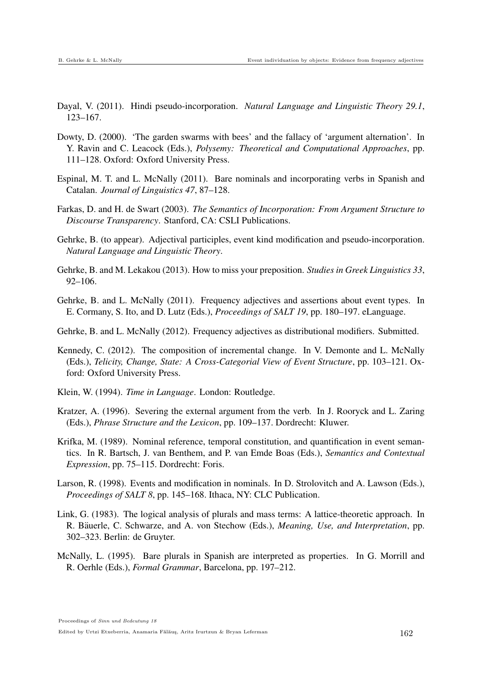- Dayal, V. (2011). Hindi pseudo-incorporation. *Natural Language and Linguistic Theory 29.1*, 123–167.
- Dowty, D. (2000). 'The garden swarms with bees' and the fallacy of 'argument alternation'. In Y. Ravin and C. Leacock (Eds.), *Polysemy: Theoretical and Computational Approaches*, pp. 111–128. Oxford: Oxford University Press.
- Espinal, M. T. and L. McNally (2011). Bare nominals and incorporating verbs in Spanish and Catalan. *Journal of Linguistics 47*, 87–128.
- Farkas, D. and H. de Swart (2003). *The Semantics of Incorporation: From Argument Structure to Discourse Transparency*. Stanford, CA: CSLI Publications.
- Gehrke, B. (to appear). Adjectival participles, event kind modification and pseudo-incorporation. *Natural Language and Linguistic Theory*.
- Gehrke, B. and M. Lekakou (2013). How to miss your preposition. *Studies in Greek Linguistics 33*, 92–106.
- Gehrke, B. and L. McNally (2011). Frequency adjectives and assertions about event types. In E. Cormany, S. Ito, and D. Lutz (Eds.), *Proceedings of SALT 19*, pp. 180–197. eLanguage.
- Gehrke, B. and L. McNally (2012). Frequency adjectives as distributional modifiers. Submitted.
- Kennedy, C. (2012). The composition of incremental change. In V. Demonte and L. McNally (Eds.), *Telicity, Change, State: A Cross-Categorial View of Event Structure*, pp. 103–121. Oxford: Oxford University Press.
- Klein, W. (1994). *Time in Language*. London: Routledge.
- Kratzer, A. (1996). Severing the external argument from the verb. In J. Rooryck and L. Zaring (Eds.), *Phrase Structure and the Lexicon*, pp. 109–137. Dordrecht: Kluwer.
- Krifka, M. (1989). Nominal reference, temporal constitution, and quantification in event semantics. In R. Bartsch, J. van Benthem, and P. van Emde Boas (Eds.), *Semantics and Contextual Expression*, pp. 75–115. Dordrecht: Foris.
- Larson, R. (1998). Events and modification in nominals. In D. Strolovitch and A. Lawson (Eds.), *Proceedings of SALT 8*, pp. 145–168. Ithaca, NY: CLC Publication.
- Link, G. (1983). The logical analysis of plurals and mass terms: A lattice-theoretic approach. In R. Bäuerle, C. Schwarze, and A. von Stechow (Eds.), *Meaning, Use, and Interpretation*, pp. 302–323. Berlin: de Gruyter.
- McNally, L. (1995). Bare plurals in Spanish are interpreted as properties. In G. Morrill and R. Oerhle (Eds.), *Formal Grammar*, Barcelona, pp. 197–212.

Proceedings of Sinn und Bedeutung 18

Edited by Urtzi Etxeberria, Anamaria Fălăuş, Aritz Irurtzun & Bryan Leferman 162